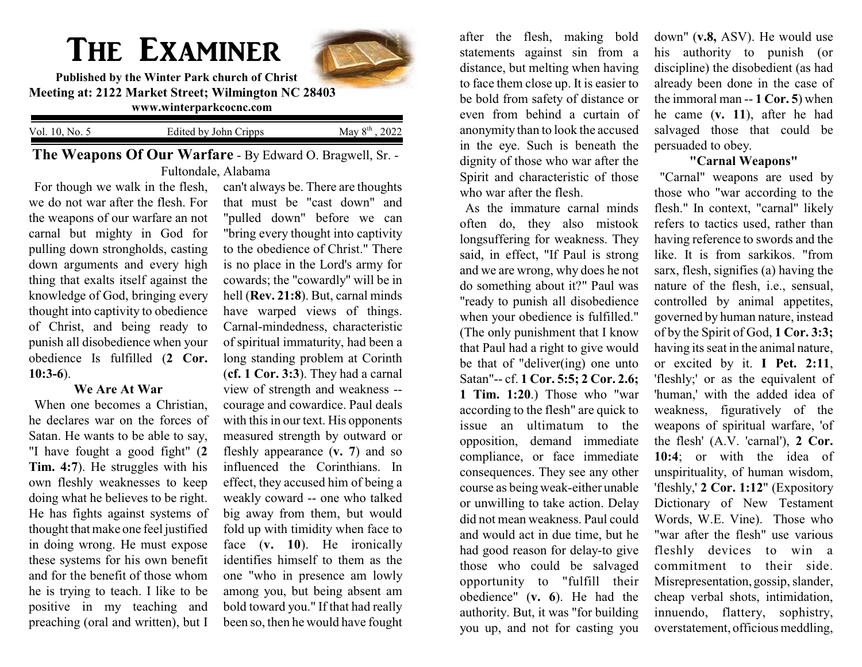## The Examiner



**Published by the Winter Park church of Christ Meeting at: 2122 Market Street; Wilmington NC 28403 www.winterparkcocnc.com** 

| Vol. 10, No. 5 | Edited by John Cripps | , 2022<br>May $8th$ . |
|----------------|-----------------------|-----------------------|
|                |                       |                       |

**The Weapons Of Our Warfare** - By Edward O. Bragwell, Sr. - Fultondale, Alabama

For though we walk in the flesh, we do not war after the flesh. For the weapons of our warfare an not carnal but mighty in God for pulling down strongholds, casting down arguments and every high thing that exalts itself against the knowledge of God, bringing every thought into captivity to obedience of Christ, and being ready to punish all disobedience when your obedience Is fulfilled (**2 Cor. 10:3-6**).

## **We Are At War**

When one becomes a Christian, he declares war on the forces of Satan. He wants to be able to say, "I have fought a good fight" (**2 Tim. 4:7**). He struggles with his own fleshly weaknesses to keep doing what he believes to be right. He has fights against systems of thought that make one feel justified in doing wrong. He must expose these systems for his own benefit and for the benefit of those whom he is trying to teach. I like to be positive in my teaching and preaching (oral and written), but I

can't always be. There are thoughts that must be "cast down" and "pulled down" before we can "bring every thought into captivity to the obedience of Christ." There is no place in the Lord's army for cowards; the "cowardly" will be in hell (**Rev. 21:8**). But, carnal minds have warped views of things. Carnal-mindedness, characteristic of spiritual immaturity, had been a long standing problem at Corinth (**cf. 1 Cor. 3:3**). They had a carnal view of strength and weakness - courage and cowardice. Paul deals with this in our text. His opponents measured strength by outward or fleshly appearance (**v. 7**) and so influenced the Corinthians. In effect, they accused him of being a weakly coward -- one who talked big away from them, but would fold up with timidity when face to face (**v. 10**). He ironically identifies himself to them as the one "who in presence am lowly among you, but being absent am bold toward you." If that had really been so, then he would have fought

after the flesh, making bold statements against sin from a distance, but melting when having to face them close up. It is easier to be bold from safety of distance or even from behind a curtain of anonymity than to look the accused in the eye. Such is beneath the dignity of those who war after the Spirit and characteristic of those who war after the flesh.

As the immature carnal minds often do, they also mistook longsuffering for weakness. They said, in effect, "If Paul is strong and we are wrong, why does he not do something about it?" Paul was "ready to punish all disobedience when your obedience is fulfilled." (The only punishment that I know that Paul had a right to give would be that of "deliver(ing) one unto Satan"-- cf. **1 Cor. 5:5; 2 Cor. 2.6; 1 Tim. 1:20**.) Those who "war according to the flesh" are quick to issue an ultimatum to the opposition, demand immediate compliance, or face immediate consequences. They see any other course as being weak-either unable or unwilling to take action. Delay did not mean weakness. Paul could and would act in due time, but he had good reason for delay-to give those who could be salvaged opportunity to "fulfill their obedience" (**v. 6**). He had the authority. But, it was "for building you up, and not for casting you

down" (**v.8,** ASV). He would use his authority to punish (or discipline) the disobedient (as had already been done in the case of the immoral man -- **1 Cor. 5**) when he came (**v. 11**), after he had salvaged those that could be persuaded to obey.

## **"Carnal Weapons"**

"Carnal" weapons are used by those who "war according to the flesh." In context, "carnal" likely refers to tactics used, rather than having reference to swords and the like. It is from sarkikos. "from sarx, flesh, signifies (a) having the nature of the flesh, i.e., sensual, controlled by animal appetites, governed by human nature, instead of by the Spirit of God, **1 Cor. 3:3;** having its seat in the animal nature, or excited by it. **I Pet. 2:11**, 'fleshly;' or as the equivalent of 'human,' with the added idea of weakness, figuratively of the weapons of spiritual warfare, 'of the flesh' (A.V. 'carnal'), **2 Cor. 10:4**; or with the idea of unspirituality, of human wisdom, 'fleshly,' **2 Cor. 1:12**" (Expository Dictionary of New Testament Words, W.E. Vine). Those who "war after the flesh" use various fleshly devices to win a commitment to their side. Misrepresentation, gossip, slander, cheap verbal shots, intimidation, innuendo, flattery, sophistry, overstatement, officious meddling,